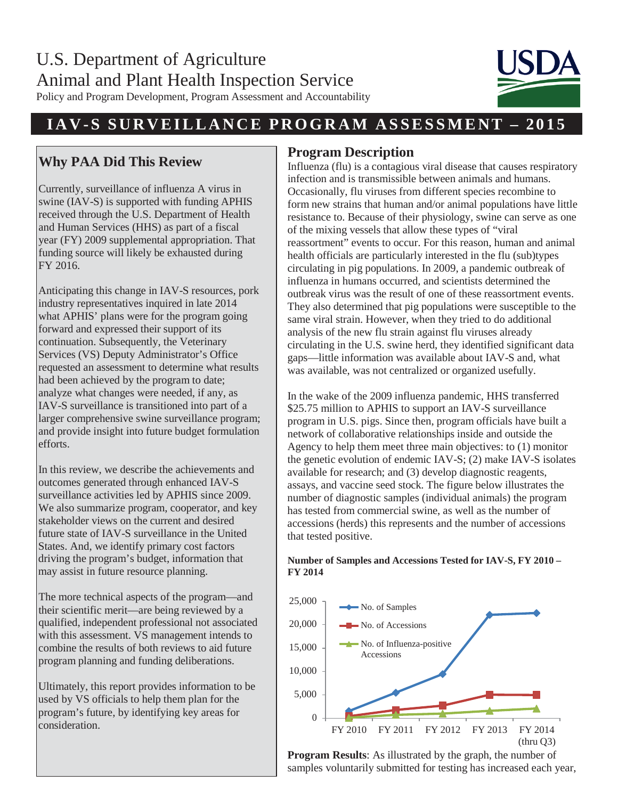Policy and Program Development, Program Assessment and Accountability

## **IAV- S SURVEILLANCE PROGRAM ASSESSME NT – 20 1 5**

### **Why PAA Did This Review**

Currently, surveillance of influenza A virus in swine (IAV-S) is supported with funding APHIS received through the U.S. Department of Health and Human Services (HHS) as part of a fiscal year (FY) 2009 supplemental appropriation. That funding source will likely be exhausted during FY 2016.

Anticipating this change in IAV-S resources, pork industry representatives inquired in late 2014 what APHIS' plans were for the program going forward and expressed their support of its continuation. Subsequently, the Veterinary Services (VS) Deputy Administrator's Office requested an assessment to determine what results had been achieved by the program to date; analyze what changes were needed, if any, as IAV-S surveillance is transitioned into part of a larger comprehensive swine surveillance program; and provide insight into future budget formulation efforts.

In this review, we describe the achievements and outcomes generated through enhanced IAV-S surveillance activities led by APHIS since 2009. We also summarize program, cooperator, and key stakeholder views on the current and desired future state of IAV-S surveillance in the United States. And, we identify primary cost factors driving the program's budget, information that may assist in future resource planning.

The more technical aspects of the program—and their scientific merit—are being reviewed by a qualified, independent professional not associated with this assessment. VS management intends to combine the results of both reviews to aid future program planning and funding deliberations.

Ultimately, this report provides information to be used by VS officials to help them plan for the program's future, by identifying key areas for consideration.

#### **Program Description**

Influenza (flu) is a contagious viral disease that causes respiratory infection and is transmissible between animals and humans. Occasionally, flu viruses from different species recombine to form new strains that human and/or animal populations have little resistance to. Because of their physiology, swine can serve as one of the mixing vessels that allow these types of "viral reassortment" events to occur. For this reason, human and animal health officials are particularly interested in the flu (sub)types circulating in pig populations. In 2009, a pandemic outbreak of influenza in humans occurred, and scientists determined the outbreak virus was the result of one of these reassortment events. They also determined that pig populations were susceptible to the same viral strain. However, when they tried to do additional analysis of the new flu strain against flu viruses already circulating in the U.S. swine herd, they identified significant data gaps—little information was available about IAV-S and, what was available, was not centralized or organized usefully.

In the wake of the 2009 influenza pandemic, HHS transferred \$25.75 million to APHIS to support an IAV-S surveillance program in U.S. pigs. Since then, program officials have built a network of collaborative relationships inside and outside the Agency to help them meet three main objectives: to (1) monitor the genetic evolution of endemic IAV-S; (2) make IAV-S isolates available for research; and (3) develop diagnostic reagents, assays, and vaccine seed stock. The figure below illustrates the number of diagnostic samples (individual animals) the program has tested from commercial swine, as well as the number of accessions (herds) this represents and the number of accessions that tested positive.

# **Number of Samples and Accessions Tested for IAV-S, FY 2010 – FY 2014**



**Program Results**: As illustrated by the graph, the number of samples voluntarily submitted for testing has increased each year,